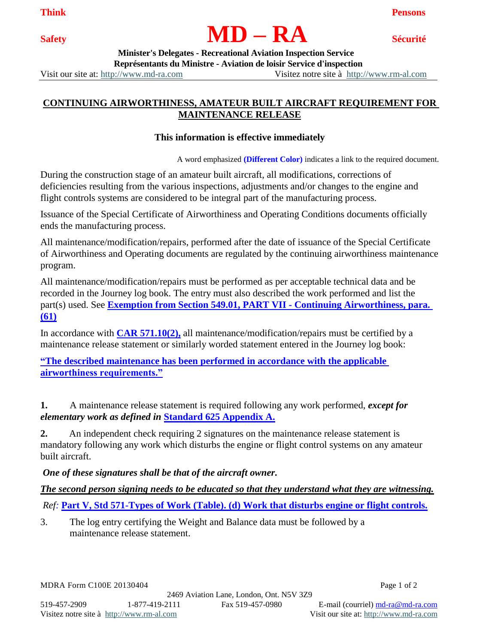## **Safety MD – RA Sécurité**

**Think Pensons**

 **Minister's Delegates - Recreational Aviation Inspection Service Représentants du Ministre - Aviation de loisir Service d'inspection**

Visit our site at: [http://www.md-ra.com](http://www.md-ra.com/) Visitez notre site à [http://www.rm-al.com](http://www.rm-al.com/)

## **CONTINUING AIRWORTHINESS, AMATEUR BUILT AIRCRAFT REQUIREMENT FOR MAINTENANCE RELEASE**

## **This information is effective immediately**

A word emphasized **(Different Color)** indicates a link to the required document.

During the construction stage of an amateur built aircraft, all modifications, corrections of deficiencies resulting from the various inspections, adjustments and/or changes to the engine and flight controls systems are considered to be integral part of the manufacturing process.

Issuance of the Special Certificate of Airworthiness and Operating Conditions documents officially ends the manufacturing process.

All maintenance/modification/repairs, performed after the date of issuance of the Special Certificate of Airworthiness and Operating documents are regulated by the continuing airworthiness maintenance program.

All maintenance/modification/repairs must be performed as per acceptable technical data and be recorded in the Journey log book. The entry must also described the work performed and list the part(s) used. See **Exemption from Section 549.01, PART VII - Continuing Airworthiness, para. (61)**

In accordance with **[CAR 571.10\(2\),](http://www.tc.gc.ca/eng/civilaviation/regserv/cars/part5-571-234.htm#571_02)** all maintenance/modification/repairs must be certified by a maintenance release statement or similarly worded statement entered in the Journey log book:

**"The described maintenance has been performed in accordance with the applicable airworthiness requirements."**

**1.** A maintenance release statement is required following any work performed, *except for elementary work as defined in* **[Standard 625 Appendix A.](http://www.tc.gc.ca/eng/civilaviation/regserv/cars/part6-standards-a625a-2458.htm)**

**2.** An independent check requiring 2 signatures on the maintenance release statement is mandatory following any work which disturbs the engine or flight control systems on any amateur built aircraft.

## *One of these signatures shall be that of the aircraft owner.*

*The second person signing needs to be educated so that they understand what they are witnessing.*

*Ref:* **[Part V, Std 571-Types of Work \(Table\)](http://www.tc.gc.ca/eng/civilaviation/regserv/cars/part5-standards-t571s01-1998.htm). (d) Work that disturbs engine or flight controls.**

3. The log entry certifying the Weight and Balance data must be followed by a maintenance release statement.